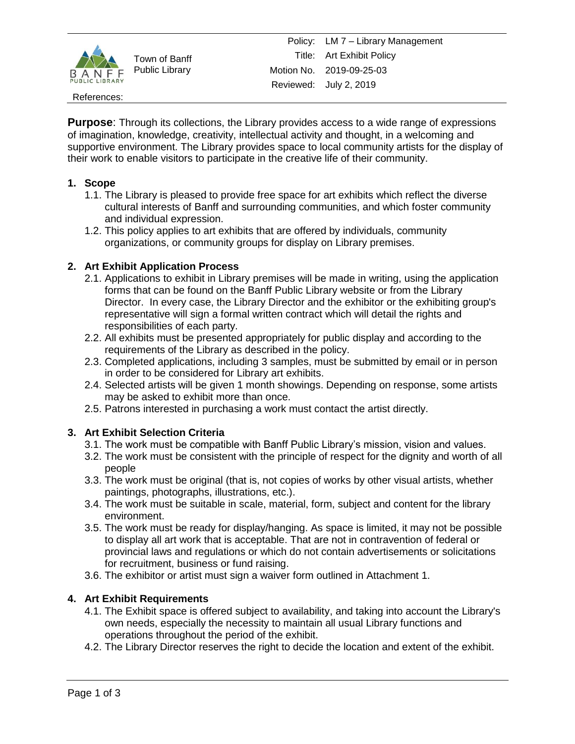

Town of Banff Public Library

#### References:

**Purpose**: Through its collections, the Library provides access to a wide range of expressions of imagination, knowledge, creativity, intellectual activity and thought, in a welcoming and supportive environment. The Library provides space to local community artists for the display of their work to enable visitors to participate in the creative life of their community.

## **1. Scope**

- 1.1. The Library is pleased to provide free space for art exhibits which reflect the diverse cultural interests of Banff and surrounding communities, and which foster community and individual expression.
- 1.2. This policy applies to art exhibits that are offered by individuals, community organizations, or community groups for display on Library premises.

## **2. Art Exhibit Application Process**

- 2.1. Applications to exhibit in Library premises will be made in writing, using the application forms that can be found on the Banff Public Library website or from the Library Director. In every case, the Library Director and the exhibitor or the exhibiting group's representative will sign a formal written contract which will detail the rights and responsibilities of each party.
- 2.2. All exhibits must be presented appropriately for public display and according to the requirements of the Library as described in the policy.
- 2.3. Completed applications, including 3 samples, must be submitted by email or in person in order to be considered for Library art exhibits.
- 2.4. Selected artists will be given 1 month showings. Depending on response, some artists may be asked to exhibit more than once.
- 2.5. Patrons interested in purchasing a work must contact the artist directly.

## **3. Art Exhibit Selection Criteria**

- 3.1. The work must be compatible with Banff Public Library's mission, vision and values.
- 3.2. The work must be consistent with the principle of respect for the dignity and worth of all people
- 3.3. The work must be original (that is, not copies of works by other visual artists, whether paintings, photographs, illustrations, etc.).
- 3.4. The work must be suitable in scale, material, form, subject and content for the library environment.
- 3.5. The work must be ready for display/hanging. As space is limited, it may not be possible to display all art work that is acceptable. That are not in contravention of federal or provincial laws and regulations or which do not contain advertisements or solicitations for recruitment, business or fund raising.
- 3.6. The exhibitor or artist must sign a waiver form outlined in Attachment 1.

## **4. Art Exhibit Requirements**

- 4.1. The Exhibit space is offered subject to availability, and taking into account the Library's own needs, especially the necessity to maintain all usual Library functions and operations throughout the period of the exhibit.
- 4.2. The Library Director reserves the right to decide the location and extent of the exhibit.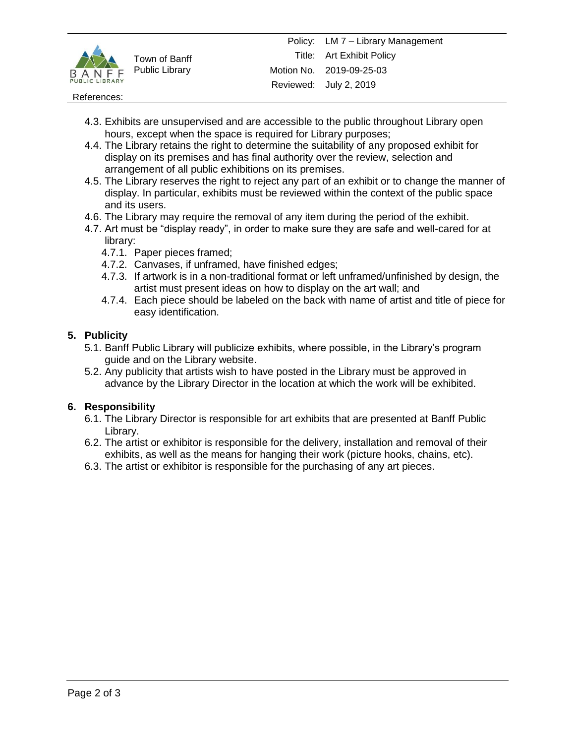

Town of Banff Public Library

#### References:

- 4.3. Exhibits are unsupervised and are accessible to the public throughout Library open hours, except when the space is required for Library purposes;
- 4.4. The Library retains the right to determine the suitability of any proposed exhibit for display on its premises and has final authority over the review, selection and arrangement of all public exhibitions on its premises.
- 4.5. The Library reserves the right to reject any part of an exhibit or to change the manner of display. In particular, exhibits must be reviewed within the context of the public space and its users.
- 4.6. The Library may require the removal of any item during the period of the exhibit.
- 4.7. Art must be "display ready", in order to make sure they are safe and well-cared for at library:
	- 4.7.1. Paper pieces framed;
	- 4.7.2. Canvases, if unframed, have finished edges;
	- 4.7.3. If artwork is in a non-traditional format or left unframed/unfinished by design, the artist must present ideas on how to display on the art wall; and
	- 4.7.4. Each piece should be labeled on the back with name of artist and title of piece for easy identification.

### **5. Publicity**

- 5.1. Banff Public Library will publicize exhibits, where possible, in the Library's program guide and on the Library website.
- 5.2. Any publicity that artists wish to have posted in the Library must be approved in advance by the Library Director in the location at which the work will be exhibited.

#### **6. Responsibility**

- 6.1. The Library Director is responsible for art exhibits that are presented at Banff Public Library.
- 6.2. The artist or exhibitor is responsible for the delivery, installation and removal of their exhibits, as well as the means for hanging their work (picture hooks, chains, etc).
- 6.3. The artist or exhibitor is responsible for the purchasing of any art pieces.